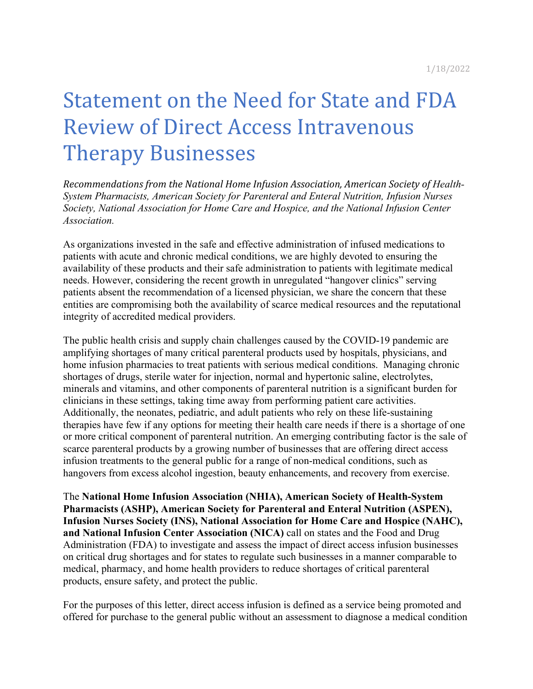# Statement on the Need for State and FDA **Review of Direct Access Intravenous Therapy Businesses**

Recommendations from the National Home Infusion Association, American Society of Health-*System Pharmacists, American Society for Parenteral and Enteral Nutrition, Infusion Nurses Society, National Association for Home Care and Hospice, and the National Infusion Center Association.*

As organizations invested in the safe and effective administration of infused medications to patients with acute and chronic medical conditions, we are highly devoted to ensuring the availability of these products and their safe administration to patients with legitimate medical needs. However, considering the recent growth in unregulated "hangover clinics" serving patients absent the recommendation of a licensed physician, we share the concern that these entities are compromising both the availability of scarce medical resources and the reputational integrity of accredited medical providers.

The public health crisis and supply chain challenges caused by the COVID-19 pandemic are amplifying shortages of many critical parenteral products used by hospitals, physicians, and home infusion pharmacies to treat patients with serious medical conditions. Managing chronic shortages of drugs, sterile water for injection, normal and hypertonic saline, electrolytes, minerals and vitamins, and other components of parenteral nutrition is a significant burden for clinicians in these settings, taking time away from performing patient care activities. Additionally, the neonates, pediatric, and adult patients who rely on these life-sustaining therapies have few if any options for meeting their health care needs if there is a shortage of one or more critical component of parenteral nutrition. An emerging contributing factor is the sale of scarce parenteral products by a growing number of businesses that are offering direct access infusion treatments to the general public for a range of non-medical conditions, such as hangovers from excess alcohol ingestion, beauty enhancements, and recovery from exercise.

The **National Home Infusion Association (NHIA), American Society of Health-System Pharmacists (ASHP), American Society for Parenteral and Enteral Nutrition (ASPEN), Infusion Nurses Society (INS), National Association for Home Care and Hospice (NAHC), and National Infusion Center Association (NICA)** call on states and the Food and Drug Administration (FDA) to investigate and assess the impact of direct access infusion businesses on critical drug shortages and for states to regulate such businesses in a manner comparable to medical, pharmacy, and home health providers to reduce shortages of critical parenteral products, ensure safety, and protect the public.

For the purposes of this letter, direct access infusion is defined as a service being promoted and offered for purchase to the general public without an assessment to diagnose a medical condition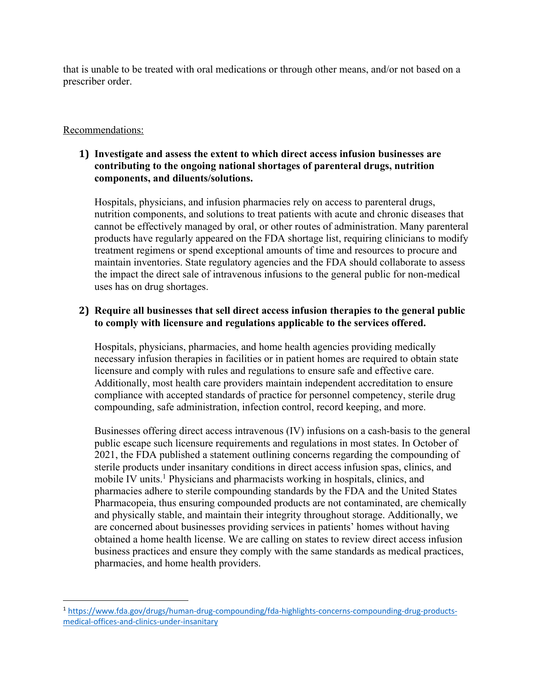that is unable to be treated with oral medications or through other means, and/or not based on a prescriber order.

# Recommendations:

# **1) Investigate and assess the extent to which direct access infusion businesses are contributing to the ongoing national shortages of parenteral drugs, nutrition components, and diluents/solutions.**

Hospitals, physicians, and infusion pharmacies rely on access to parenteral drugs, nutrition components, and solutions to treat patients with acute and chronic diseases that cannot be effectively managed by oral, or other routes of administration. Many parenteral products have regularly appeared on the FDA shortage list, requiring clinicians to modify treatment regimens or spend exceptional amounts of time and resources to procure and maintain inventories. State regulatory agencies and the FDA should collaborate to assess the impact the direct sale of intravenous infusions to the general public for non-medical uses has on drug shortages.

# **2) Require all businesses that sell direct access infusion therapies to the general public to comply with licensure and regulations applicable to the services offered.**

Hospitals, physicians, pharmacies, and home health agencies providing medically necessary infusion therapies in facilities or in patient homes are required to obtain state licensure and comply with rules and regulations to ensure safe and effective care. Additionally, most health care providers maintain independent accreditation to ensure compliance with accepted standards of practice for personnel competency, sterile drug compounding, safe administration, infection control, record keeping, and more.

Businesses offering direct access intravenous (IV) infusions on a cash-basis to the general public escape such licensure requirements and regulations in most states. In October of 2021, the FDA published a statement outlining concerns regarding the compounding of sterile products under insanitary conditions in direct access infusion spas, clinics, and mobile IV units.<sup>1</sup> Physicians and pharmacists working in hospitals, clinics, and pharmacies adhere to sterile compounding standards by the FDA and the United States Pharmacopeia, thus ensuring compounded products are not contaminated, are chemically and physically stable, and maintain their integrity throughout storage. Additionally, we are concerned about businesses providing services in patients' homes without having obtained a home health license. We are calling on states to review direct access infusion business practices and ensure they comply with the same standards as medical practices, pharmacies, and home health providers.

<sup>1</sup> https://www.fda.gov/drugs/human-drug-compounding/fda-highlights-concerns-compounding-drug-productsmedical-offices-and-clinics-under-insanitary